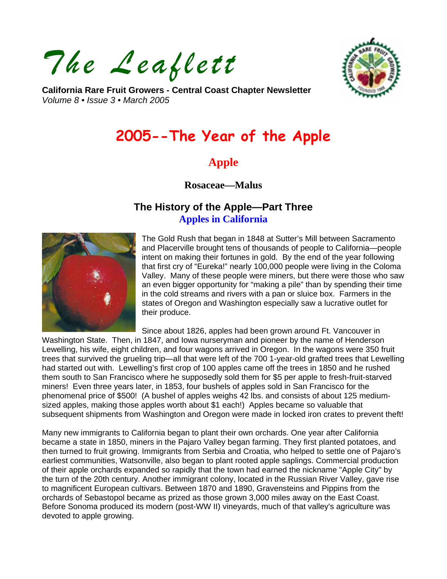*The Leaflett* 



**California Rare Fruit Growers - Central Coast Chapter Newsletter**  *Volume 8 • Issue 3 • March 2005* 

# **2005--The Year of the Apple**

## **Apple**

**Rosaceae—Malus** 

## **The History of the Apple—Part Three Apples in California**



The Gold Rush that began in 1848 at Sutter's Mill between Sacramento and Placerville brought tens of thousands of people to California—people intent on making their fortunes in gold. By the end of the year following that first cry of "Eureka!" nearly 100,000 people were living in the Coloma Valley. Many of these people were miners, but there were those who saw an even bigger opportunity for "making a pile" than by spending their time in the cold streams and rivers with a pan or sluice box. Farmers in the states of Oregon and Washington especially saw a lucrative outlet for their produce.

Since about 1826, apples had been grown around Ft. Vancouver in

Washington State. Then, in 1847, and Iowa nurseryman and pioneer by the name of Henderson Lewelling, his wife, eight children, and four wagons arrived in Oregon. In the wagons were 350 fruit trees that survived the grueling trip—all that were left of the 700 1-year-old grafted trees that Lewelling had started out with. Lewelling's first crop of 100 apples came off the trees in 1850 and he rushed them south to San Francisco where he supposedly sold them for \$5 per apple to fresh-fruit-starved miners! Even three years later, in 1853, four bushels of apples sold in San Francisco for the phenomenal price of \$500! (A bushel of apples weighs 42 lbs. and consists of about 125 mediumsized apples, making those apples worth about \$1 each!) Apples became so valuable that subsequent shipments from Washington and Oregon were made in locked iron crates to prevent theft!

Many new immigrants to California began to plant their own orchards. One year after California became a state in 1850, miners in the Pajaro Valley began farming. They first planted potatoes, and then turned to fruit growing. Immigrants from Serbia and Croatia, who helped to settle one of Pajaro's earliest communities, Watsonville, also began to plant rooted apple saplings. Commercial production of their apple orchards expanded so rapidly that the town had earned the nickname "Apple City" by the turn of the 20th century. Another immigrant colony, located in the Russian River Valley, gave rise to magnificent European cultivars. Between 1870 and 1890, Gravensteins and Pippins from the orchards of Sebastopol became as prized as those grown 3,000 miles away on the East Coast. Before Sonoma produced its modern (post-WW II) vineyards, much of that valley's agriculture was devoted to apple growing.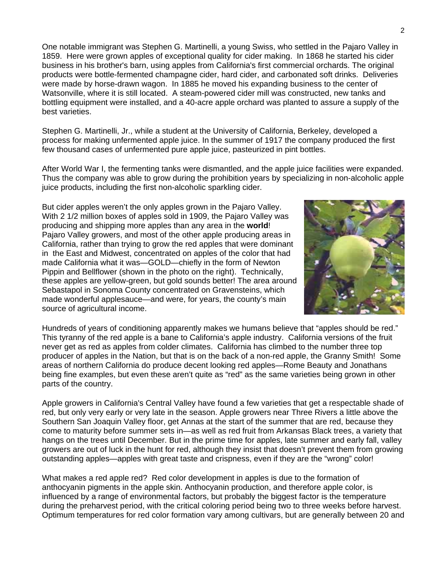One notable immigrant was Stephen G. Martinelli, a young Swiss, who settled in the Pajaro Valley in 1859. Here were grown apples of exceptional quality for cider making. In 1868 he started his cider business in his brother's barn, using apples from California's first commercial orchards. The original products were bottle-fermented champagne cider, hard cider, and carbonated soft drinks. Deliveries were made by horse-drawn wagon. In 1885 he moved his expanding business to the center of Watsonville, where it is still located. A steam-powered cider mill was constructed, new tanks and bottling equipment were installed, and a 40-acre apple orchard was planted to assure a supply of the best varieties.

Stephen G. Martinelli, Jr., while a student at the University of California, Berkeley, developed a process for making unfermented apple juice. In the summer of 1917 the company produced the first few thousand cases of unfermented pure apple juice, pasteurized in pint bottles.

After World War I, the fermenting tanks were dismantled, and the apple juice facilities were expanded. Thus the company was able to grow during the prohibition years by specializing in non-alcoholic apple juice products, including the first non-alcoholic sparkling cider.

But cider apples weren't the only apples grown in the Pajaro Valley. With 2 1/2 million boxes of apples sold in 1909, the Pajaro Valley was producing and shipping more apples than any area in the **world**! Pajaro Valley growers, and most of the other apple producing areas in California, rather than trying to grow the red apples that were dominant in the East and Midwest, concentrated on apples of the color that had made California what it was—GOLD—chiefly in the form of Newton Pippin and Bellflower (shown in the photo on the right). Technically, these apples are yellow-green, but gold sounds better! The area around Sebastapol in Sonoma County concentrated on Gravensteins, which made wonderful applesauce—and were, for years, the county's main source of agricultural income.



Hundreds of years of conditioning apparently makes we humans believe that "apples should be red." This tyranny of the red apple is a bane to California's apple industry. California versions of the fruit never get as red as apples from colder climates. California has climbed to the number three top producer of apples in the Nation, but that is on the back of a non-red apple, the Granny Smith! Some areas of northern California do produce decent looking red apples—Rome Beauty and Jonathans being fine examples, but even these aren't quite as "red" as the same varieties being grown in other parts of the country.

Apple growers in California's Central Valley have found a few varieties that get a respectable shade of red, but only very early or very late in the season. Apple growers near Three Rivers a little above the Southern San Joaquin Valley floor, get Annas at the start of the summer that are red, because they come to maturity before summer sets in—as well as red fruit from Arkansas Black trees, a variety that hangs on the trees until December. But in the prime time for apples, late summer and early fall, valley growers are out of luck in the hunt for red, although they insist that doesn't prevent them from growing outstanding apples—apples with great taste and crispness, even if they are the "wrong" color!

What makes a red apple red? Red color development in apples is due to the formation of anthocyanin pigments in the apple skin. Anthocyanin production, and therefore apple color, is influenced by a range of environmental factors, but probably the biggest factor is the temperature during the preharvest period, with the critical coloring period being two to three weeks before harvest. Optimum temperatures for red color formation vary among cultivars, but are generally between 20 and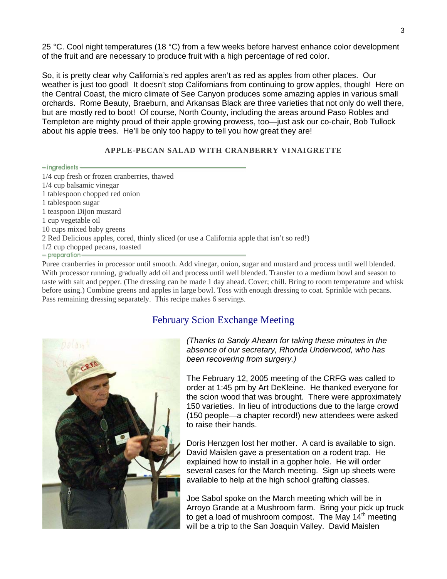25 °C. Cool night temperatures (18 °C) from a few weeks before harvest enhance color development of the fruit and are necessary to produce fruit with a high percentage of red color.

So, it is pretty clear why California's red apples aren't as red as apples from other places. Our weather is just too good! It doesn't stop Californians from continuing to grow apples, though! Here on the Central Coast, the micro climate of See Canyon produces some amazing apples in various small orchards. Rome Beauty, Braeburn, and Arkansas Black are three varieties that not only do well there, but are mostly red to boot! Of course, North County, including the areas around Paso Robles and Templeton are mighty proud of their apple growing prowess, too—just ask our co-chair, Bob Tullock about his apple trees. He'll be only too happy to tell you how great they are!

#### **APPLE-PECAN SALAD WITH CRANBERRY VINAIGRETTE**

- ingredients-1/4 cup fresh or frozen cranberries, thawed 1/4 cup balsamic vinegar 1 tablespoon chopped red onion 1 tablespoon sugar 1 teaspoon Dijon mustard 1 cup vegetable oil 10 cups mixed baby greens 2 Red Delicious apples, cored, thinly sliced (or use a California apple that isn't so red!) 1/2 cup chopped pecans, toasted - preparation-

Puree cranberries in processor until smooth. Add vinegar, onion, sugar and mustard and process until well blended. With processor running, gradually add oil and process until well blended. Transfer to a medium bowl and season to taste with salt and pepper. (The dressing can be made 1 day ahead. Cover; chill. Bring to room temperature and whisk before using.) Combine greens and apples in large bowl. Toss with enough dressing to coat. Sprinkle with pecans. Pass remaining dressing separately. This recipe makes 6 servings.

#### February Scion Exchange Meeting



*(Thanks to Sandy Ahearn for taking these minutes in the absence of our secretary, Rhonda Underwood, who has been recovering from surgery.)* 

The February 12, 2005 meeting of the CRFG was called to order at 1:45 pm by Art DeKleine. He thanked everyone for the scion wood that was brought. There were approximately 150 varieties. In lieu of introductions due to the large crowd (150 people—a chapter record!) new attendees were asked to raise their hands.

Doris Henzgen lost her mother. A card is available to sign. David Maislen gave a presentation on a rodent trap. He explained how to install in a gopher hole. He will order several cases for the March meeting. Sign up sheets were available to help at the high school grafting classes.

Joe Sabol spoke on the March meeting which will be in Arroyo Grande at a Mushroom farm. Bring your pick up truck to get a load of mushroom compost. The May  $14<sup>th</sup>$  meeting will be a trip to the San Joaquin Valley. David Maislen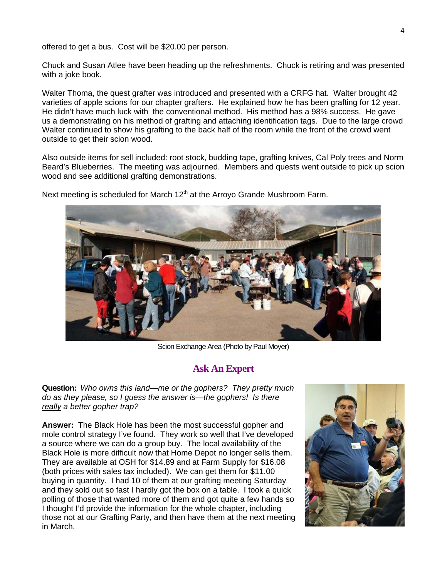offered to get a bus. Cost will be \$20.00 per person.

Chuck and Susan Atlee have been heading up the refreshments. Chuck is retiring and was presented with a joke book.

Walter Thoma, the quest grafter was introduced and presented with a CRFG hat. Walter brought 42 varieties of apple scions for our chapter grafters. He explained how he has been grafting for 12 year. He didn't have much luck with the conventional method. His method has a 98% success. He gave us a demonstrating on his method of grafting and attaching identification tags. Due to the large crowd Walter continued to show his grafting to the back half of the room while the front of the crowd went outside to get their scion wood.

Also outside items for sell included: root stock, budding tape, grafting knives, Cal Poly trees and Norm Beard's Blueberries. The meeting was adjourned. Members and quests went outside to pick up scion wood and see additional grafting demonstrations.

Next meeting is scheduled for March  $12<sup>th</sup>$  at the Arroyo Grande Mushroom Farm.



Scion Exchange Area (Photo by Paul Moyer)

#### **Ask An Expert**

**Question:** *Who owns this land—me or the gophers? They pretty much do as they please, so I guess the answer is—the gophers! Is there really a better gopher trap?* 

**Answer:** The Black Hole has been the most successful gopher and mole control strategy I've found. They work so well that I've developed a source where we can do a group buy. The local availability of the Black Hole is more difficult now that Home Depot no longer sells them. They are available at OSH for \$14.89 and at Farm Supply for \$16.08 (both prices with sales tax included). We can get them for \$11.00 buying in quantity. I had 10 of them at our grafting meeting Saturday and they sold out so fast I hardly got the box on a table. I took a quick polling of those that wanted more of them and got quite a few hands so I thought I'd provide the information for the whole chapter, including those not at our Grafting Party, and then have them at the next meeting in March.

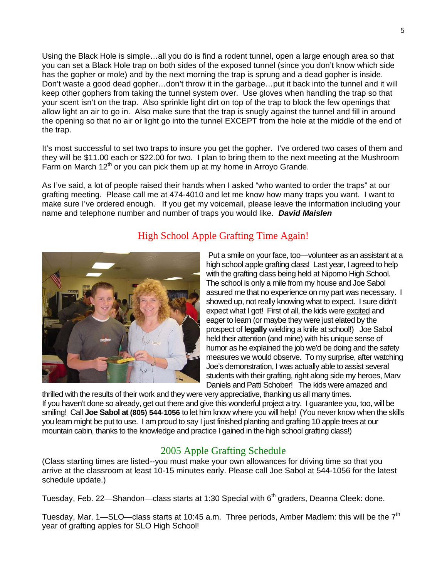Using the Black Hole is simple…all you do is find a rodent tunnel, open a large enough area so that you can set a Black Hole trap on both sides of the exposed tunnel (since you don't know which side has the gopher or mole) and by the next morning the trap is sprung and a dead gopher is inside. Don't waste a good dead gopher…don't throw it in the garbage…put it back into the tunnel and it will keep other gophers from taking the tunnel system over. Use gloves when handling the trap so that your scent isn't on the trap. Also sprinkle light dirt on top of the trap to block the few openings that allow light an air to go in. Also make sure that the trap is snugly against the tunnel and fill in around the opening so that no air or light go into the tunnel EXCEPT from the hole at the middle of the end of the trap.

It's most successful to set two traps to insure you get the gopher. I've ordered two cases of them and they will be \$11.00 each or \$22.00 for two. I plan to bring them to the next meeting at the Mushroom Farm on March  $12<sup>th</sup>$  or you can pick them up at my home in Arroyo Grande.

As I've said, a lot of people raised their hands when I asked "who wanted to order the traps" at our grafting meeting. Please call me at 474-4010 and let me know how many traps you want. I want to make sure I've ordered enough. If you get my voicemail, please leave the information including your name and telephone number and number of traps you would like. *David Maislen* 



#### High School Apple Grafting Time Again!

Put a smile on your face, too—volunteer as an assistant at a high school apple grafting class! Last year, I agreed to help with the grafting class being held at Nipomo High School. The school is only a mile from my house and Joe Sabol assured me that no experience on my part was necessary. I showed up, not really knowing what to expect. I sure didn't expect what I got! First of all, the kids were excited and eager to learn (or maybe they were just elated by the prospect of **legally** wielding a knife at school!) Joe Sabol held their attention (and mine) with his unique sense of humor as he explained the job we'd be doing and the safety measures we would observe. To my surprise, after watching Joe's demonstration, I was actually able to assist several students with their grafting, right along side my heroes, Marv Daniels and Patti Schober! The kids were amazed and

thrilled with the results of their work and they were very appreciative, thanking us all many times. If you haven't done so already, get out there and give this wonderful project a try. I guarantee you, too, will be smiling! Call **Joe Sabol at (805) 544-1056** to let him know where you will help! (You never know when the skills you learn might be put to use. I am proud to say I just finished planting and grafting 10 apple trees at our mountain cabin, thanks to the knowledge and practice I gained in the high school grafting class!)

#### 2005 Apple Grafting Schedule

(Class starting times are listed--you must make your own allowances for driving time so that you arrive at the classroom at least 10-15 minutes early. Please call Joe Sabol at 544-1056 for the latest schedule update.)

Tuesday, Feb. 22—Shandon—class starts at 1:30 Special with 6<sup>th</sup> graders, Deanna Cleek: done.

Tuesday, Mar. 1—SLO—class starts at 10:45 a.m. Three periods, Amber Madlem: this will be the  $7<sup>th</sup>$ year of grafting apples for SLO High School!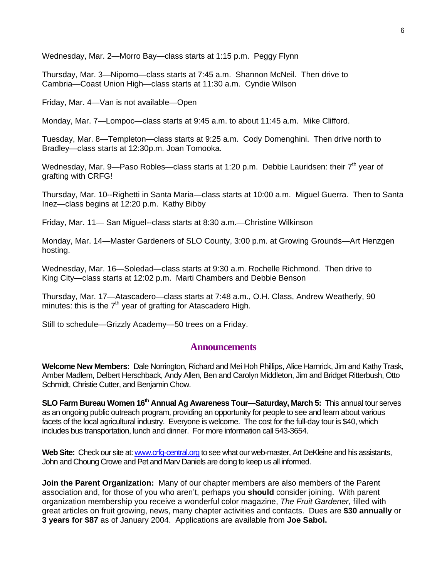Wednesday, Mar. 2—Morro Bay—class starts at 1:15 p.m. Peggy Flynn

Thursday, Mar. 3—Nipomo—class starts at 7:45 a.m. Shannon McNeil. Then drive to Cambria—Coast Union High—class starts at 11:30 a.m. Cyndie Wilson

Friday, Mar. 4—Van is not available—Open

Monday, Mar. 7—Lompoc—class starts at 9:45 a.m. to about 11:45 a.m. Mike Clifford.

Tuesday, Mar. 8—Templeton—class starts at 9:25 a.m. Cody Domenghini. Then drive north to Bradley—class starts at 12:30p.m. Joan Tomooka.

Wednesday, Mar. 9—Paso Robles—class starts at 1:20 p.m. Debbie Lauridsen: their  $7<sup>th</sup>$  year of grafting with CRFG!

Thursday, Mar. 10--Righetti in Santa Maria—class starts at 10:00 a.m. Miguel Guerra. Then to Santa Inez—class begins at 12:20 p.m. Kathy Bibby

Friday, Mar. 11— San Miguel--class starts at 8:30 a.m.—Christine Wilkinson

Monday, Mar. 14—Master Gardeners of SLO County, 3:00 p.m. at Growing Grounds—Art Henzgen hosting.

Wednesday, Mar. 16—Soledad—class starts at 9:30 a.m. Rochelle Richmond. Then drive to King City—class starts at 12:02 p.m. Marti Chambers and Debbie Benson

Thursday, Mar. 17—Atascadero—class starts at 7:48 a.m., O.H. Class, Andrew Weatherly, 90 minutes: this is the  $7<sup>th</sup>$  year of grafting for Atascadero High.

Still to schedule—Grizzly Academy—50 trees on a Friday.

#### **Announcements**

**Welcome New Members:** Dale Norrington, Richard and Mei Hoh Phillips, Alice Hamrick, Jim and Kathy Trask, Amber Madlem, Delbert Herschback, Andy Allen, Ben and Carolyn Middleton, Jim and Bridget Ritterbush, Otto Schmidt, Christie Cutter, and Benjamin Chow.

**SLO Farm Bureau Women 16<sup>th</sup> Annual Ag Awareness Tour—Saturday, March 5:** This annual tour serves as an ongoing public outreach program, providing an opportunity for people to see and learn about various facets of the local agricultural industry. Everyone is welcome. The cost for the full-day tour is \$40, which includes bus transportation, lunch and dinner. For more information call 543-3654.

Web Site: Check our site at: [www.crfg-central.org](http://www.crfg-central.org/) to see what our web-master, Art DeKleine and his assistants, John and Choung Crowe and Pet and Marv Daniels are doing to keep us all informed.

**Join the Parent Organization:** Many of our chapter members are also members of the Parent association and, for those of you who aren't, perhaps you **should** consider joining. With parent organization membership you receive a wonderful color magazine, *The Fruit Gardener*, filled with great articles on fruit growing, news, many chapter activities and contacts. Dues are **\$30 annually** or **3 years for \$87** as of January 2004. Applications are available from **Joe Sabol.**